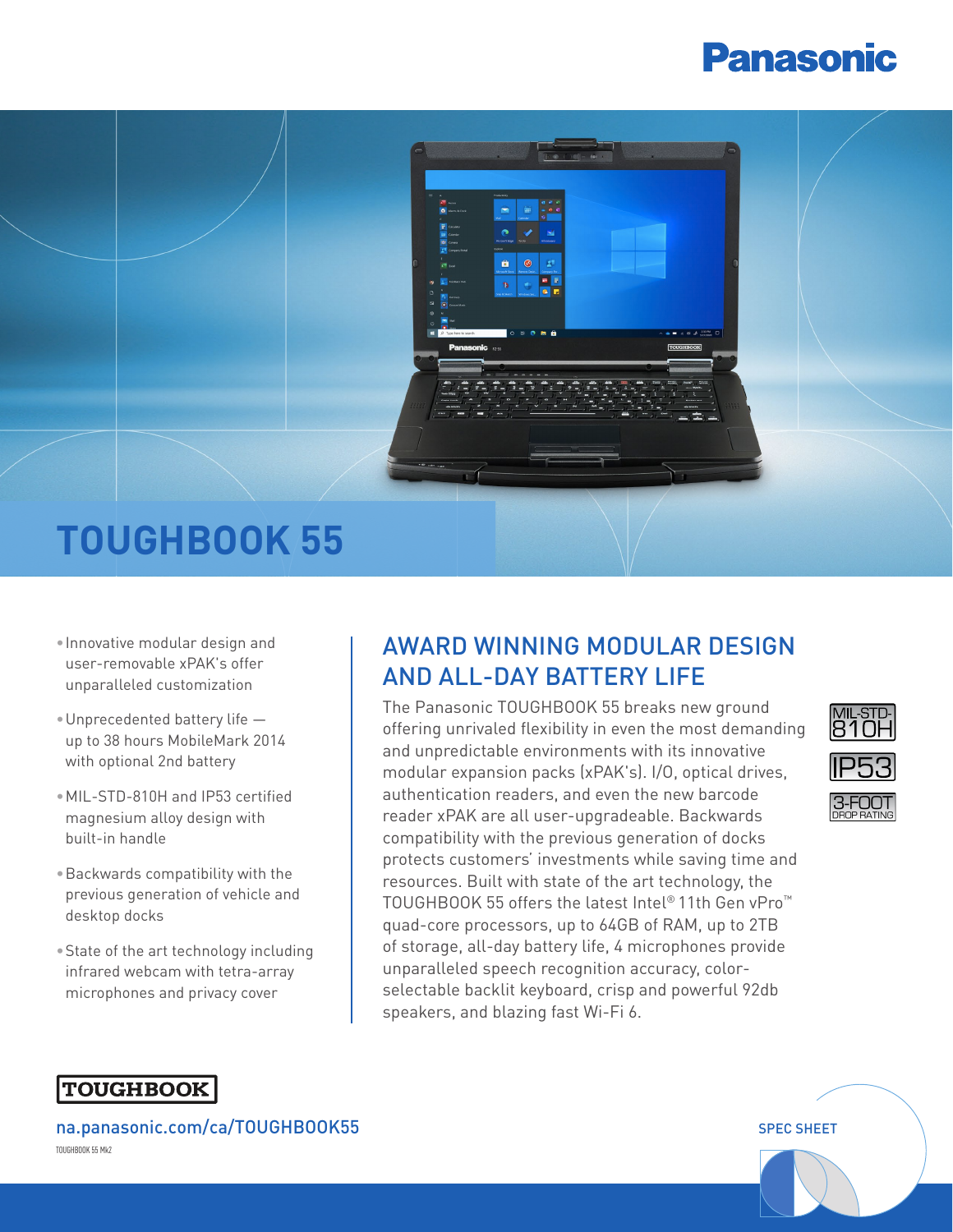# **Panasonic**



- •Innovative modular design and user-removable xPAK's offer unparalleled customization
- •Unprecedented battery life up to 38 hours MobileMark 2014 with optional 2nd battery
- •MIL-STD-810H and IP53 certified magnesium alloy design with built-in handle
- •Backwards compatibility with the previous generation of vehicle and desktop docks
- •State of the art technology including infrared webcam with tetra-array microphones and privacy cover

# AWARD WINNING MODULAR DESIGN AND ALL-DAY BATTERY LIFE

The Panasonic TOUGHBOOK 55 breaks new ground offering unrivaled flexibility in even the most demanding and unpredictable environments with its innovative modular expansion packs (xPAK's). I/O, optical drives, authentication readers, and even the new barcode reader xPAK are all user-upgradeable. Backwards compatibility with the previous generation of docks protects customers' investments while saving time and resources. Built with state of the art technology, the TOUGHBOOK 55 offers the latest Intel® 11th Gen vPro™ quad-core processors, up to 64GB of RAM, up to 2TB of storage, all-day battery life, 4 microphones provide unparalleled speech recognition accuracy, colorselectable backlit keyboard, crisp and powerful 92db speakers, and blazing fast Wi-Fi 6.



## **TOUGHBOOK**

[na.panasonic.com/](https://na.panasonic.com/us/TOUGHBOOK55)ca/TOUGHBOOK55 Special service of the service of the special special special special special TOUGHBOOK 55 Mk2